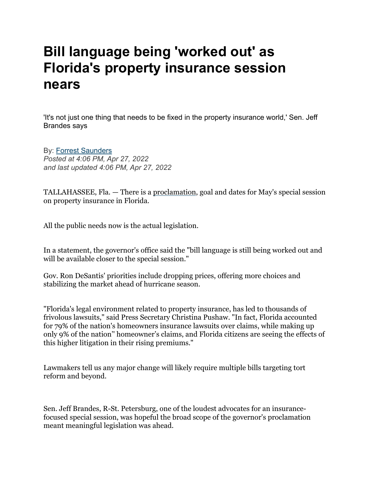## **Bill language being 'worked out' as Florida's property insurance session nears**

'It's not just one thing that needs to be fixed in the property insurance world,' Sen. Jeff Brandes says

By: [Forrest Saunders](https://f.xdref.com/?id=23SEXj1J009599&from=betsy@johnstonstewart.com&to=richie@airqualityassessors.com&url=https://www.wptv.com/forrest-saunders)

*Posted at 4:06 PM, Apr 27, 2022 and last updated 4:06 PM, Apr 27, 2022*

TALLAHASSEE, Fla. — There is a [proclamation](https://twitter.com/FBSaunders/status/1519047039065239552?s=20&t=VPezpb4UaNMYpATde53kQQ), goal and dates for May's special session on property insurance in Florida.

All the public needs now is the actual legislation.

In a statement, the governor's office said the "bill language is still being worked out and will be available closer to the special session."

Gov. Ron DeSantis' priorities include dropping prices, offering more choices and stabilizing the market ahead of hurricane season.

"Florida's legal environment related to property insurance, has led to thousands of frivolous lawsuits," said Press Secretary Christina Pushaw. "In fact, Florida accounted for 79% of the nation's homeowners insurance lawsuits over claims, while making up only 9% of the nation'' homeowner's claims, and Florida citizens are seeing the effects of this higher litigation in their rising premiums."

Lawmakers tell us any major change will likely require multiple bills targeting tort reform and beyond.

Sen. Jeff Brandes, R-St. Petersburg, one of the loudest advocates for an insurancefocused special session, was hopeful the broad scope of the governor's proclamation meant meaningful legislation was ahead.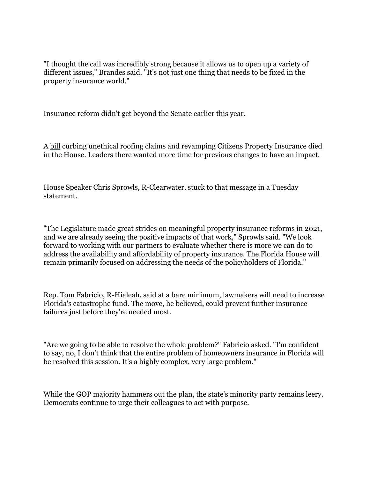"I thought the call was incredibly strong because it allows us to open up a variety of different issues," Brandes said. "It's not just one thing that needs to be fixed in the property insurance world."

Insurance reform didn't get beyond the Senate earlier this year.

A [bill](https://f.xdref.com/?id=23SEXj1J009599&from=betsy@johnstonstewart.com&to=richie@airqualityassessors.com&url=https://www.myfloridahouse.gov/Sections/Bills/billsdetail.aspx?BillId=76198&) curbing unethical roofing claims and revamping Citizens Property Insurance died in the House. Leaders there wanted more time for previous changes to have an impact.

House Speaker Chris Sprowls, R-Clearwater, stuck to that message in a Tuesday statement.

"The Legislature made great strides on meaningful property insurance reforms in 2021, and we are already seeing the positive impacts of that work," Sprowls said. "We look forward to working with our partners to evaluate whether there is more we can do to address the availability and affordability of property insurance. The Florida House will remain primarily focused on addressing the needs of the policyholders of Florida."

Rep. Tom Fabricio, R-Hialeah, said at a bare minimum, lawmakers will need to increase Florida's catastrophe fund. The move, he believed, could prevent further insurance failures just before they're needed most.

"Are we going to be able to resolve the whole problem?" Fabricio asked. "I'm confident to say, no, I don't think that the entire problem of homeowners insurance in Florida will be resolved this session. It's a highly complex, very large problem."

While the GOP majority hammers out the plan, the state's minority party remains leery. Democrats continue to urge their colleagues to act with purpose.